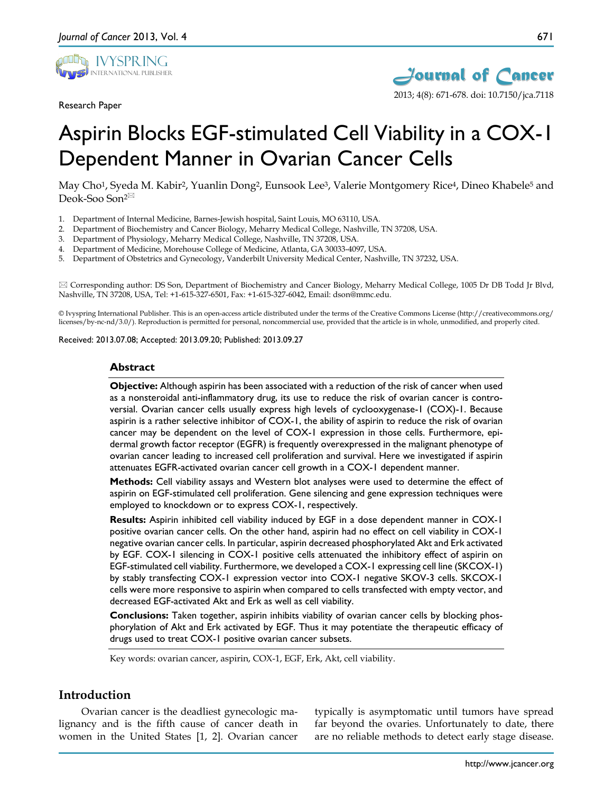

Research Paper



# Aspirin Blocks EGF-stimulated Cell Viability in a COX-1 Dependent Manner in Ovarian Cancer Cells

May Cho<sup>1</sup>, Syeda M. Kabir<sup>2</sup>, Yuanlin Dong<sup>2</sup>, Eunsook Lee<sup>3</sup>, Valerie Montgomery Rice<sup>4</sup>, Dineo Khabele<sup>5</sup> and Deok-Soo Son<sup>2⊠</sup>

- 1. Department of Internal Medicine, Barnes-Jewish hospital, Saint Louis, MO 63110, USA.
- 2. Department of Biochemistry and Cancer Biology, Meharry Medical College, Nashville, TN 37208, USA.
- 3. Department of Physiology, Meharry Medical College, Nashville, TN 37208, USA.
- 4. Department of Medicine, Morehouse College of Medicine, Atlanta, GA 30033-4097, USA.
- 5. Department of Obstetrics and Gynecology, Vanderbilt University Medical Center, Nashville, TN 37232, USA.

 Corresponding author: DS Son, Department of Biochemistry and Cancer Biology, Meharry Medical College, 1005 Dr DB Todd Jr Blvd, Nashville, TN 37208, USA, Tel: +1-615-327-6501, Fax: +1-615-327-6042, Email: dson@mmc.edu.

© Ivyspring International Publisher. This is an open-access article distributed under the terms of the Creative Commons License (http://creativecommons.org/ licenses/by-nc-nd/3.0/). Reproduction is permitted for personal, noncommercial use, provided that the article is in whole, unmodified, and properly cited.

Received: 2013.07.08; Accepted: 2013.09.20; Published: 2013.09.27

#### **Abstract**

**Objective:** Although aspirin has been associated with a reduction of the risk of cancer when used as a nonsteroidal anti-inflammatory drug, its use to reduce the risk of ovarian cancer is controversial. Ovarian cancer cells usually express high levels of cyclooxygenase-1 (COX)-1. Because aspirin is a rather selective inhibitor of COX-1, the ability of aspirin to reduce the risk of ovarian cancer may be dependent on the level of COX-1 expression in those cells. Furthermore, epidermal growth factor receptor (EGFR) is frequently overexpressed in the malignant phenotype of ovarian cancer leading to increased cell proliferation and survival. Here we investigated if aspirin attenuates EGFR-activated ovarian cancer cell growth in a COX-1 dependent manner.

**Methods:** Cell viability assays and Western blot analyses were used to determine the effect of aspirin on EGF-stimulated cell proliferation. Gene silencing and gene expression techniques were employed to knockdown or to express COX-1, respectively.

**Results:** Aspirin inhibited cell viability induced by EGF in a dose dependent manner in COX-1 positive ovarian cancer cells. On the other hand, aspirin had no effect on cell viability in COX-1 negative ovarian cancer cells. In particular, aspirin decreased phosphorylated Akt and Erk activated by EGF. COX-1 silencing in COX-1 positive cells attenuated the inhibitory effect of aspirin on EGF-stimulated cell viability. Furthermore, we developed a COX-1 expressing cell line (SKCOX-1) by stably transfecting COX-1 expression vector into COX-1 negative SKOV-3 cells. SKCOX-1 cells were more responsive to aspirin when compared to cells transfected with empty vector, and decreased EGF-activated Akt and Erk as well as cell viability.

**Conclusions:** Taken together, aspirin inhibits viability of ovarian cancer cells by blocking phosphorylation of Akt and Erk activated by EGF. Thus it may potentiate the therapeutic efficacy of drugs used to treat COX-1 positive ovarian cancer subsets.

Key words: ovarian cancer, aspirin, COX-1, EGF, Erk, Akt, cell viability.

# **Introduction**

Ovarian cancer is the deadliest gynecologic malignancy and is the fifth cause of cancer death in women in the United States [1, 2]. Ovarian cancer

typically is asymptomatic until tumors have spread far beyond the ovaries. Unfortunately to date, there are no reliable methods to detect early stage disease.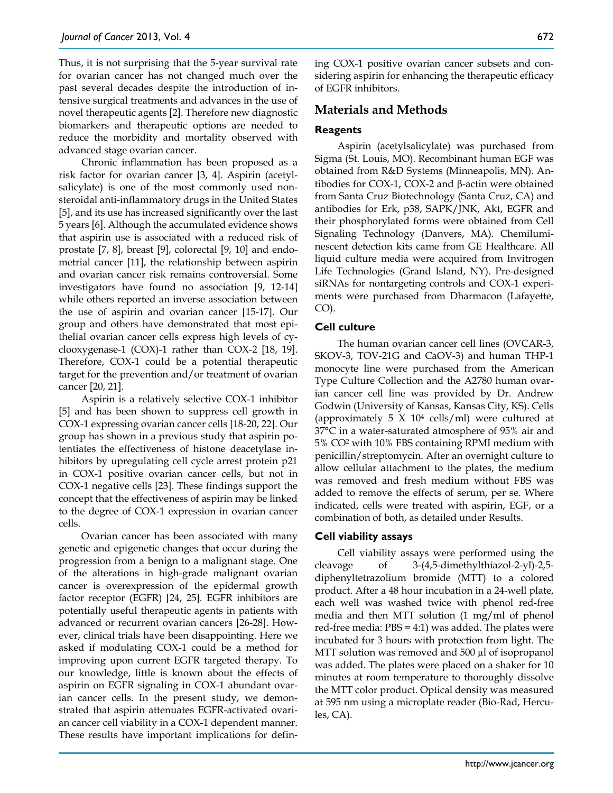Thus, it is not surprising that the 5-year survival rate for ovarian cancer has not changed much over the past several decades despite the introduction of intensive surgical treatments and advances in the use of novel therapeutic agents [2]. Therefore new diagnostic biomarkers and therapeutic options are needed to reduce the morbidity and mortality observed with advanced stage ovarian cancer.

Chronic inflammation has been proposed as a risk factor for ovarian cancer [3, 4]. Aspirin (acetylsalicylate) is one of the most commonly used nonsteroidal anti-inflammatory drugs in the United States [5], and its use has increased significantly over the last 5 years [6]. Although the accumulated evidence shows that aspirin use is associated with a reduced risk of prostate [7, 8], breast [9], colorectal [9, 10] and endometrial cancer [11], the relationship between aspirin and ovarian cancer risk remains controversial. Some investigators have found no association [9, 12-14] while others reported an inverse association between the use of aspirin and ovarian cancer [15-17]. Our group and others have demonstrated that most epithelial ovarian cancer cells express high levels of cyclooxygenase-1 (COX)-1 rather than COX-2 [18, 19]. Therefore, COX-1 could be a potential therapeutic target for the prevention and/or treatment of ovarian cancer [20, 21].

Aspirin is a relatively selective COX-1 inhibitor [5] and has been shown to suppress cell growth in COX-1 expressing ovarian cancer cells [18-20, 22]. Our group has shown in a previous study that aspirin potentiates the effectiveness of histone deacetylase inhibitors by upregulating cell cycle arrest protein p21 in COX-1 positive ovarian cancer cells, but not in COX-1 negative cells [23]. These findings support the concept that the effectiveness of aspirin may be linked to the degree of COX-1 expression in ovarian cancer cells.

Ovarian cancer has been associated with many genetic and epigenetic changes that occur during the progression from a benign to a malignant stage. One of the alterations in high-grade malignant ovarian cancer is overexpression of the epidermal growth factor receptor (EGFR) [24, 25]. EGFR inhibitors are potentially useful therapeutic agents in patients with advanced or recurrent ovarian cancers [26-28]. However, clinical trials have been disappointing. Here we asked if modulating COX-1 could be a method for improving upon current EGFR targeted therapy. To our knowledge, little is known about the effects of aspirin on EGFR signaling in COX-1 abundant ovarian cancer cells. In the present study, we demonstrated that aspirin attenuates EGFR-activated ovarian cancer cell viability in a COX-1 dependent manner. These results have important implications for defining COX-1 positive ovarian cancer subsets and considering aspirin for enhancing the therapeutic efficacy of EGFR inhibitors.

# **Materials and Methods**

# **Reagents**

Aspirin (acetylsalicylate) was purchased from Sigma (St. Louis, MO). Recombinant human EGF was obtained from R&D Systems (Minneapolis, MN). Antibodies for COX-1, COX-2 and β-actin were obtained from Santa Cruz Biotechnology (Santa Cruz, CA) and antibodies for Erk, p38, SAPK/JNK, Akt, EGFR and their phosphorylated forms were obtained from Cell Signaling Technology (Danvers, MA). Chemiluminescent detection kits came from GE Healthcare. All liquid culture media were acquired from Invitrogen Life Technologies (Grand Island, NY). Pre-designed siRNAs for nontargeting controls and COX-1 experiments were purchased from Dharmacon (Lafayette, CO).

## **Cell culture**

The human ovarian cancer cell lines (OVCAR-3, SKOV-3, TOV-21G and CaOV-3) and human THP-1 monocyte line were purchased from the American Type Culture Collection and the A2780 human ovarian cancer cell line was provided by Dr. Andrew Godwin (University of Kansas, Kansas City, KS). Cells (approximately 5  $X$  10<sup>4</sup> cells/ml) were cultured at 37°C in a water-saturated atmosphere of 95% air and 5% CO2 with 10% FBS containing RPMI medium with penicillin/streptomycin. After an overnight culture to allow cellular attachment to the plates, the medium was removed and fresh medium without FBS was added to remove the effects of serum, per se. Where indicated, cells were treated with aspirin, EGF, or a combination of both, as detailed under Results.

## **Cell viability assays**

Cell viability assays were performed using the cleavage of 3-(4,5-dimethylthiazol-2-yl)-2,5 diphenyltetrazolium bromide (MTT) to a colored product. After a 48 hour incubation in a 24-well plate, each well was washed twice with phenol red-free media and then MTT solution (1 mg/ml of phenol red-free media: PBS = 4:1) was added. The plates were incubated for 3 hours with protection from light. The MTT solution was removed and 500 µl of isopropanol was added. The plates were placed on a shaker for 10 minutes at room temperature to thoroughly dissolve the MTT color product. Optical density was measured at 595 nm using a microplate reader (Bio-Rad, Hercules, CA).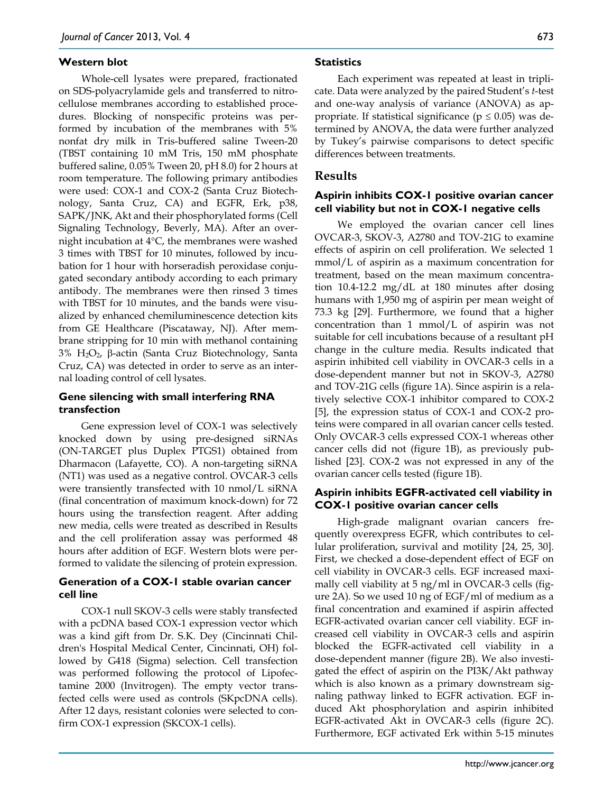#### **Western blot**

Whole-cell lysates were prepared, fractionated on SDS-polyacrylamide gels and transferred to nitrocellulose membranes according to established procedures. Blocking of nonspecific proteins was performed by incubation of the membranes with 5% nonfat dry milk in Tris-buffered saline Tween-20 (TBST containing 10 mM Tris, 150 mM phosphate buffered saline, 0.05% Tween 20, pH 8.0) for 2 hours at room temperature. The following primary antibodies were used: COX-1 and COX-2 (Santa Cruz Biotechnology, Santa Cruz, CA) and EGFR, Erk, p38, SAPK/JNK, Akt and their phosphorylated forms (Cell Signaling Technology, Beverly, MA). After an overnight incubation at 4°C, the membranes were washed 3 times with TBST for 10 minutes, followed by incubation for 1 hour with horseradish peroxidase conjugated secondary antibody according to each primary antibody. The membranes were then rinsed 3 times with TBST for 10 minutes, and the bands were visualized by enhanced chemiluminescence detection kits from GE Healthcare (Piscataway, NJ). After membrane stripping for 10 min with methanol containing 3% H2O2, β-actin (Santa Cruz Biotechnology, Santa Cruz, CA) was detected in order to serve as an internal loading control of cell lysates.

## **Gene silencing with small interfering RNA transfection**

Gene expression level of COX-1 was selectively knocked down by using pre-designed siRNAs (ON-TARGET plus Duplex PTGS1) obtained from Dharmacon (Lafayette, CO). A non-targeting siRNA (NT1) was used as a negative control. OVCAR-3 cells were transiently transfected with 10 nmol/L siRNA (final concentration of maximum knock-down) for 72 hours using the transfection reagent. After adding new media, cells were treated as described in Results and the cell proliferation assay was performed 48 hours after addition of EGF. Western blots were performed to validate the silencing of protein expression.

#### **Generation of a COX-1 stable ovarian cancer cell line**

COX-1 null SKOV-3 cells were stably transfected with a pcDNA based COX-1 expression vector which was a kind gift from Dr. S.K. Dey (Cincinnati Children's Hospital Medical Center, Cincinnati, OH) followed by G418 (Sigma) selection. Cell transfection was performed following the protocol of Lipofectamine 2000 (Invitrogen). The empty vector transfected cells were used as controls (SKpcDNA cells). After 12 days, resistant colonies were selected to confirm COX-1 expression (SKCOX-1 cells).

#### **Statistics**

Each experiment was repeated at least in triplicate. Data were analyzed by the paired Student's *t*-test and one-way analysis of variance (ANOVA) as appropriate. If statistical significance ( $p \leq 0.05$ ) was determined by ANOVA, the data were further analyzed by Tukey's pairwise comparisons to detect specific differences between treatments.

## **Results**

## **Aspirin inhibits COX-1 positive ovarian cancer cell viability but not in COX-1 negative cells**

We employed the ovarian cancer cell lines OVCAR-3, SKOV-3, A2780 and TOV-21G to examine effects of aspirin on cell proliferation. We selected 1 mmol/L of aspirin as a maximum concentration for treatment, based on the mean maximum concentration 10.4-12.2 mg/dL at 180 minutes after dosing humans with 1,950 mg of aspirin per mean weight of 73.3 kg [29]. Furthermore, we found that a higher concentration than 1 mmol/L of aspirin was not suitable for cell incubations because of a resultant pH change in the culture media. Results indicated that aspirin inhibited cell viability in OVCAR-3 cells in a dose-dependent manner but not in SKOV-3, A2780 and TOV-21G cells (figure 1A). Since aspirin is a relatively selective COX-1 inhibitor compared to COX-2 [5], the expression status of COX-1 and COX-2 proteins were compared in all ovarian cancer cells tested. Only OVCAR-3 cells expressed COX-1 whereas other cancer cells did not (figure 1B), as previously published [23]. COX-2 was not expressed in any of the ovarian cancer cells tested (figure 1B).

## **Aspirin inhibits EGFR-activated cell viability in COX-1 positive ovarian cancer cells**

High-grade malignant ovarian cancers frequently overexpress EGFR, which contributes to cellular proliferation, survival and motility [24, 25, 30]. First, we checked a dose-dependent effect of EGF on cell viability in OVCAR-3 cells. EGF increased maximally cell viability at 5 ng/ml in OVCAR-3 cells (figure 2A). So we used 10 ng of EGF/ml of medium as a final concentration and examined if aspirin affected EGFR-activated ovarian cancer cell viability. EGF increased cell viability in OVCAR-3 cells and aspirin blocked the EGFR-activated cell viability in a dose-dependent manner (figure 2B). We also investigated the effect of aspirin on the PI3K/Akt pathway which is also known as a primary downstream signaling pathway linked to EGFR activation. EGF induced Akt phosphorylation and aspirin inhibited EGFR-activated Akt in OVCAR-3 cells (figure 2C). Furthermore, EGF activated Erk within 5-15 minutes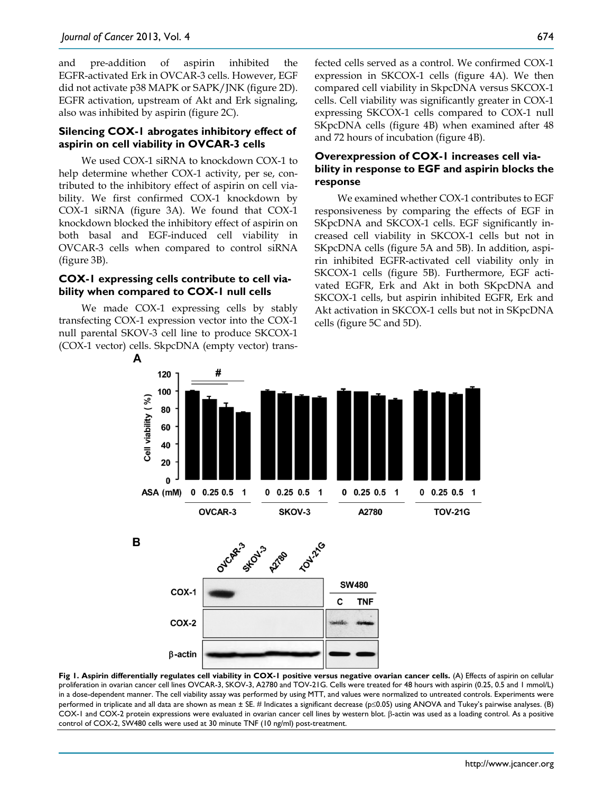and pre-addition of aspirin inhibited the EGFR-activated Erk in OVCAR-3 cells. However, EGF did not activate p38 MAPK or SAPK/JNK (figure 2D). EGFR activation, upstream of Akt and Erk signaling, also was inhibited by aspirin (figure 2C).

#### **Silencing COX-1 abrogates inhibitory effect of aspirin on cell viability in OVCAR-3 cells**

We used COX-1 siRNA to knockdown COX-1 to help determine whether COX-1 activity, per se, contributed to the inhibitory effect of aspirin on cell viability. We first confirmed COX-1 knockdown by COX-1 siRNA (figure 3A). We found that COX-1 knockdown blocked the inhibitory effect of aspirin on both basal and EGF-induced cell viability in OVCAR-3 cells when compared to control siRNA (figure 3B).

## **COX-1 expressing cells contribute to cell viability when compared to COX-1 null cells**

We made COX-1 expressing cells by stably transfecting COX-1 expression vector into the COX-1 null parental SKOV-3 cell line to produce SKCOX-1 (COX-1 vector) cells. SkpcDNA (empty vector) transfected cells served as a control. We confirmed COX-1 expression in SKCOX-1 cells (figure 4A). We then compared cell viability in SkpcDNA versus SKCOX-1 cells. Cell viability was significantly greater in COX-1 expressing SKCOX-1 cells compared to COX-1 null SKpcDNA cells (figure 4B) when examined after 48 and 72 hours of incubation (figure 4B).

# **Overexpression of COX-1 increases cell viability in response to EGF and aspirin blocks the response**

We examined whether COX-1 contributes to EGF responsiveness by comparing the effects of EGF in SKpcDNA and SKCOX-1 cells. EGF significantly increased cell viability in SKCOX-1 cells but not in SKpcDNA cells (figure 5A and 5B). In addition, aspirin inhibited EGFR-activated cell viability only in SKCOX-1 cells (figure 5B). Furthermore, EGF activated EGFR, Erk and Akt in both SKpcDNA and SKCOX-1 cells, but aspirin inhibited EGFR, Erk and Akt activation in SKCOX-1 cells but not in SKpcDNA cells (figure 5C and 5D).







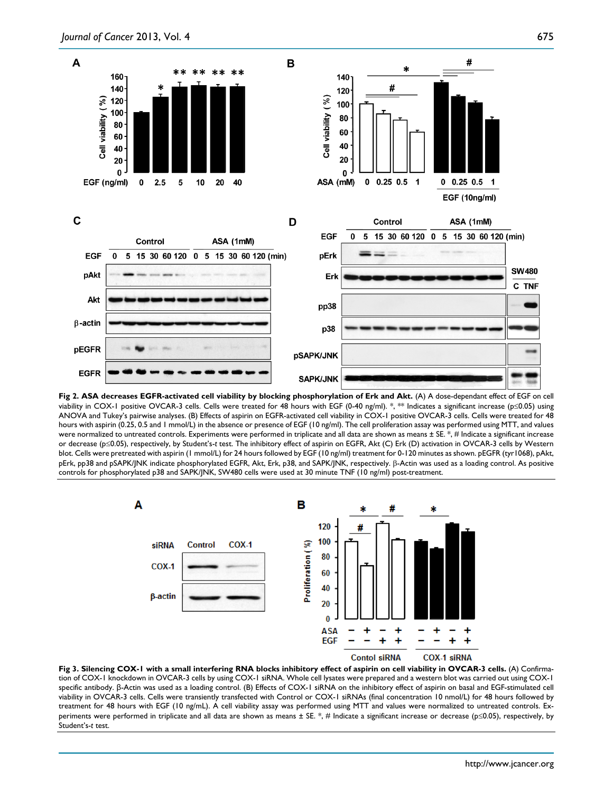

Fig 2. ASA decreases EGFR-activated cell viability by blocking phosphorylation of Erk and Akt. (A) A dose-dependant effect of EGF on cell viability in COX-1 positive OVCAR-3 cells. Cells were treated for 48 hours with EGF (0-40 ng/ml). \*, \*\* Indicates a significant increase (p≤0.05) using ANOVA and Tukey's pairwise analyses. (B) Effects of aspirin on EGFR-activated cell viability in COX-1 positive OVCAR-3 cells. Cells were treated for 48 hours with aspirin (0.25, 0.5 and 1 mmol/L) in the absence or presence of EGF (10 ng/ml). The cell proliferation assay was performed using MTT, and values were normalized to untreated controls. Experiments were performed in triplicate and all data are shown as means ± SE. \*, # Indicate a significant increase or decrease (p≤0.05), respectively, by Student's-*t* test. The inhibitory effect of aspirin on EGFR, Akt (C) Erk (D) activation in OVCAR-3 cells by Western blot. Cells were pretreated with aspirin (1 mmol/L) for 24 hours followed by EGF (10 ng/ml) treatment for 0-120 minutes as shown. pEGFR (tyr1068), pAkt, pErk, pp38 and pSAPK/JNK indicate phosphorylated EGFR, Akt, Erk, p38, and SAPK/JNK, respectively. β-Actin was used as a loading control. As positive controls for phosphorylated p38 and SAPK/JNK, SW480 cells were used at 30 minute TNF (10 ng/ml) post-treatment.



**Fig 3. Silencing COX-1 with a small interfering RNA blocks inhibitory effect of aspirin on cell viability in OVCAR-3 cells.** (A) Confirmation of COX-1 knockdown in OVCAR-3 cells by using COX-1 siRNA. Whole cell lysates were prepared and a western blot was carried out using COX-1 specific antibody. β-Actin was used as a loading control. (B) Effects of COX-1 siRNA on the inhibitory effect of aspirin on basal and EGF-stimulated cell viability in OVCAR-3 cells. Cells were transiently transfected with Control or COX-1 siRNAs (final concentration 10 nmol/L) for 48 hours followed by treatment for 48 hours with EGF (10 ng/mL). A cell viability assay was performed using MTT and values were normalized to untreated controls. Experiments were performed in triplicate and all data are shown as means  $\pm$  SE. \*, # Indicate a significant increase or decrease (p≤0.05), respectively, by Student's-*t* test.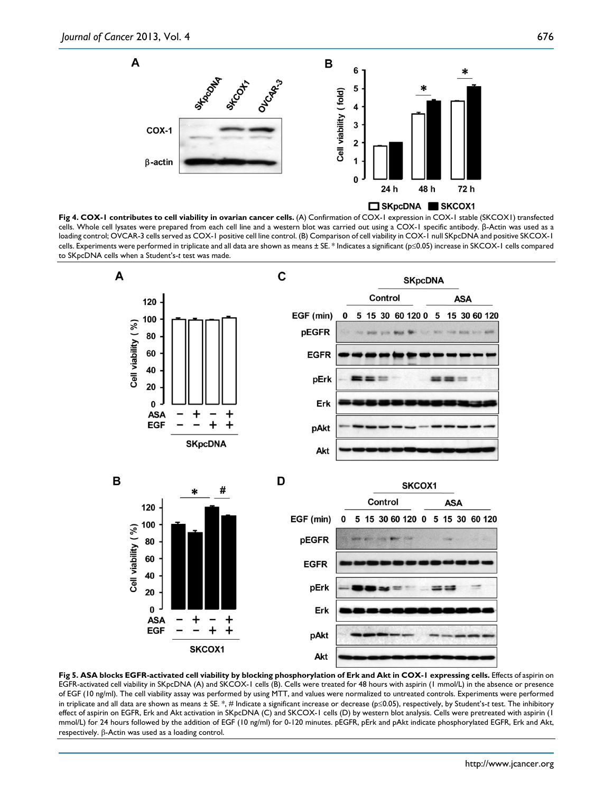

**Fig 4. COX-1 contributes to cell viability in ovarian cancer cells.** (A) Confirmation of COX-1 expression in COX-1 stable (SKCOX1) transfected cells. Whole cell lysates were prepared from each cell line and a western blot was carried out using a COX-1 specific antibody. β-Actin was used as a loading control; OVCAR-3 cells served as COX-1 positive cell line control. (B) Comparison of cell viability in COX-1 null SKpcDNA and positive SKCOX-1 cells. Experiments were performed in triplicate and all data are shown as means ± SE. \* Indicates a significant (p≤0.05) increase in SKCOX-1 cells compared to SKpcDNA cells when a Student's-*t* test was made.



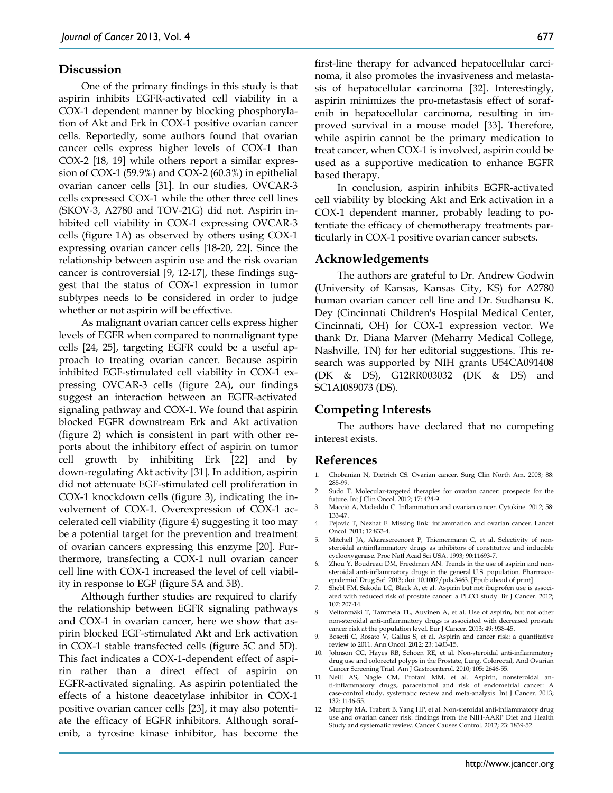#### **Discussion**

One of the primary findings in this study is that aspirin inhibits EGFR-activated cell viability in a COX-1 dependent manner by blocking phosphorylation of Akt and Erk in COX-1 positive ovarian cancer cells. Reportedly, some authors found that ovarian cancer cells express higher levels of COX-1 than COX-2 [18, 19] while others report a similar expression of COX-1 (59.9%) and COX-2 (60.3%) in epithelial ovarian cancer cells [31]. In our studies, OVCAR-3 cells expressed COX-1 while the other three cell lines (SKOV-3, A2780 and TOV-21G) did not. Aspirin inhibited cell viability in COX-1 expressing OVCAR-3 cells (figure 1A) as observed by others using COX-1 expressing ovarian cancer cells [18-20, 22]. Since the relationship between aspirin use and the risk ovarian cancer is controversial [9, 12-17], these findings suggest that the status of COX-1 expression in tumor subtypes needs to be considered in order to judge whether or not aspirin will be effective.

As malignant ovarian cancer cells express higher levels of EGFR when compared to nonmalignant type cells [24, 25], targeting EGFR could be a useful approach to treating ovarian cancer. Because aspirin inhibited EGF-stimulated cell viability in COX-1 expressing OVCAR-3 cells (figure 2A), our findings suggest an interaction between an EGFR-activated signaling pathway and COX-1. We found that aspirin blocked EGFR downstream Erk and Akt activation (figure 2) which is consistent in part with other reports about the inhibitory effect of aspirin on tumor cell growth by inhibiting Erk [22] and by down-regulating Akt activity [31]. In addition, aspirin did not attenuate EGF-stimulated cell proliferation in COX-1 knockdown cells (figure 3), indicating the involvement of COX-1. Overexpression of COX-1 accelerated cell viability (figure 4) suggesting it too may be a potential target for the prevention and treatment of ovarian cancers expressing this enzyme [20]. Furthermore, transfecting a COX-1 null ovarian cancer cell line with COX-1 increased the level of cell viability in response to EGF (figure 5A and 5B).

Although further studies are required to clarify the relationship between EGFR signaling pathways and COX-1 in ovarian cancer, here we show that aspirin blocked EGF-stimulated Akt and Erk activation in COX-1 stable transfected cells (figure 5C and 5D). This fact indicates a COX-1-dependent effect of aspirin rather than a direct effect of aspirin on EGFR-activated signaling. As aspirin potentiated the effects of a histone deacetylase inhibitor in COX-1 positive ovarian cancer cells [23], it may also potentiate the efficacy of EGFR inhibitors. Although sorafenib, a tyrosine kinase inhibitor, has become the

first-line therapy for advanced hepatocellular carcinoma, it also promotes the invasiveness and metastasis of hepatocellular carcinoma [32]. Interestingly, aspirin minimizes the pro-metastasis effect of sorafenib in hepatocellular carcinoma, resulting in improved survival in a mouse model [33]. Therefore, while aspirin cannot be the primary medication to treat cancer, when COX-1 is involved, aspirin could be used as a supportive medication to enhance EGFR based therapy.

In conclusion, aspirin inhibits EGFR-activated cell viability by blocking Akt and Erk activation in a COX-1 dependent manner, probably leading to potentiate the efficacy of chemotherapy treatments particularly in COX-1 positive ovarian cancer subsets.

#### **Acknowledgements**

The authors are grateful to Dr. Andrew Godwin (University of Kansas, Kansas City, KS) for A2780 human ovarian cancer cell line and Dr. Sudhansu K. Dey (Cincinnati Children's Hospital Medical Center, Cincinnati, OH) for COX-1 expression vector. We thank Dr. Diana Marver (Meharry Medical College, Nashville, TN) for her editorial suggestions. This research was supported by NIH grants U54CA091408 (DK & DS), G12RR003032 (DK & DS) and SC1AI089073 (DS).

## **Competing Interests**

The authors have declared that no competing interest exists.

# **References**

- 1. Chobanian N, Dietrich CS. Ovarian cancer. Surg Clin North Am. 2008; 88: 285-99.
- 2. Sudo T. Molecular-targeted therapies for ovarian cancer: prospects for the future. Int J Clin Oncol. 2012; 17: 424-9.
- 3. Macciò A, Madeddu C. Inflammation and ovarian cancer. Cytokine. 2012; 58: 133-47.
- 4. Pejovic T, Nezhat F. Missing link: inflammation and ovarian cancer. Lancet Oncol. 2011; 12:833-4.
- 5. Mitchell JA, Akarasereenont P, Thiemermann C, et al. Selectivity of nonsteroidal antiinflammatory drugs as inhibitors of constitutive and inducible cyclooxygenase. Proc Natl Acad Sci USA. 1993; 90:11693-7.
- 6. Zhou Y, Boudreau DM, Freedman AN. Trends in the use of aspirin and nonsteroidal anti-inflammatory drugs in the general U.S. population. Pharmacoepidemiol Drug Saf. 2013; doi: 10.1002/pds.3463. [Epub ahead of print]
- 7. Shebl FM, Sakoda LC, Black A, et al. Aspirin but not ibuprofen use is associated with reduced risk of prostate cancer: a PLCO study. Br J Cancer. 2012; 107: 207-14.
- 8. Veitonmäki T, Tammela TL, Auvinen A, et al. Use of aspirin, but not other non-steroidal anti-inflammatory drugs is associated with decreased prostate cancer risk at the population level. Eur J Cancer. 2013; 49: 938-45.
- 9. Bosetti C, Rosato V, Gallus S, et al. Aspirin and cancer risk: a quantitative review to 2011. Ann Oncol. 2012; 23: 1403-15.
- 10. Johnson CC, Hayes RB, Schoen RE, et al. Non-steroidal anti-inflammatory drug use and colorectal polyps in the Prostate, Lung, Colorectal, And Ovarian Cancer Screening Trial. Am J Gastroenterol. 2010; 105: 2646-55.
- 11. Neill AS, Nagle CM, Protani MM, et al. Aspirin, nonsteroidal anti-inflammatory drugs, paracetamol and risk of endometrial cancer: A case-control study, systematic review and meta-analysis. Int J Cancer. 2013; 132: 1146-55.
- 12. Murphy MA, Trabert B, Yang HP, et al. Non-steroidal anti-inflammatory drug use and ovarian cancer risk: findings from the NIH-AARP Diet and Health Study and systematic review. Cancer Causes Control. 2012; 23: 1839-52.